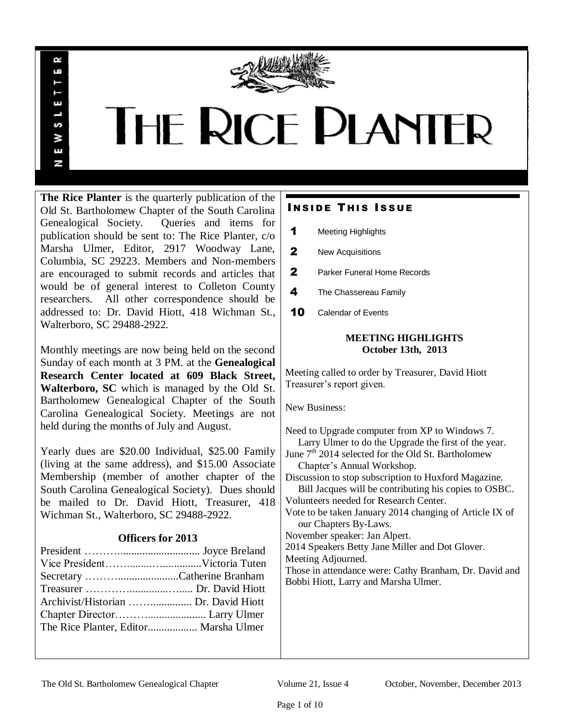

# **THE RICE DIANTER**

**The Rice Planter** is the quarterly publication of the Old St. Bartholomew Chapter of the South Carolina Genealogical Society. Queries and items for publication should be sent to: The Rice Planter, c/o Marsha Ulmer, Editor, 2917 Woodway Lane, Columbia, SC 29223. Members and Non-members are encouraged to submit records and articles that would be of general interest to Colleton County researchers. All other correspondence should be addressed to: Dr. David Hiott, 418 Wichman St., Walterboro, SC 29488-2922.

R uń

ш

S ¥ Ŧ N

Monthly meetings are now being held on the second Sunday of each month at 3 PM. at the **Genealogical Research Center located at 609 Black Street, Walterboro, SC** which is managed by the Old St. Bartholomew Genealogical Chapter of the South Carolina Genealogical Society. Meetings are not held during the months of July and August.

Yearly dues are \$20.00 Individual, \$25.00 Family (living at the same address), and \$15.00 Associate Membership (member of another chapter of the South Carolina Genealogical Society). Dues should be mailed to Dr. David Hiott, Treasurer, 418 Wichman St., Walterboro, SC 29488-2922.

# **Officers for 2013**

| Secretary Catherine Branham           |  |
|---------------------------------------|--|
|                                       |  |
|                                       |  |
|                                       |  |
| The Rice Planter, Editor Marsha Ulmer |  |
|                                       |  |

# **INSIDE THIS ISSUE**

- 1 Meeting Highlights
- 2 New Acquisitions
- 2 Parker Funeral Home Records
- 4 The Chassereau Family
- **10** Calendar of Events

# **MEETING HIGHLIGHTS October 13th, 2013**

Meeting called to order by Treasurer, David Hiott Treasurer's report given.

New Business:

Need to Upgrade computer from XP to Windows 7. Larry Ulmer to do the Upgrade the first of the year. June  $7<sup>th</sup>$  2014 selected for the Old St. Bartholomew Chapter's Annual Workshop. Discussion to stop subscription to Huxford Magazine. Bill Jacques will be contributing his copies to OSBC. Volunteers needed for Research Center. Vote to be taken January 2014 changing of Article IX of our Chapters By-Laws. November speaker: Jan Alpert. 2014 Speakers Betty Jane Miller and Dot Glover. Meeting Adjourned. Those in attendance were: Cathy Branham, Dr. David and Bobbi Hiott, Larry and Marsha Ulmer.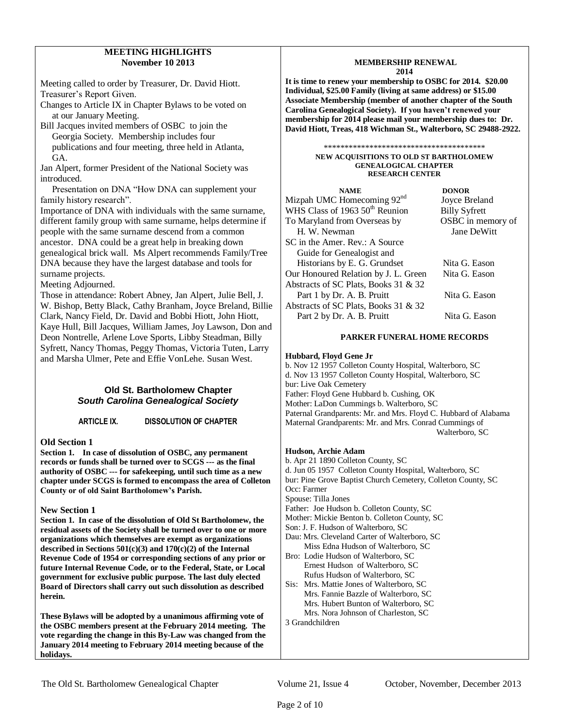# **MEETING HIGHLIGHTS November 10 2013**

Meeting called to order by Treasurer, Dr. David Hiott. Treasurer's Report Given.

Changes to Article IX in Chapter Bylaws to be voted on at our January Meeting.

Bill Jacques invited members of OSBC to join the Georgia Society. Membership includes four publications and four meeting, three held in Atlanta, GA.

Jan Alpert, former President of the National Society was introduced.

 Presentation on DNA "How DNA can supplement your family history research".

Importance of DNA with individuals with the same surname, different family group with same surname, helps determine if people with the same surname descend from a common ancestor. DNA could be a great help in breaking down genealogical brick wall. Ms Alpert recommends Family/Tree DNA because they have the largest database and tools for surname projects.

Meeting Adjourned.

Those in attendance: Robert Abney, Jan Alpert, Julie Bell, J. W. Bishop, Betty Black, Cathy Branham, Joyce Breland, Billie Clark, Nancy Field, Dr. David and Bobbi Hiott, John Hiott, Kaye Hull, Bill Jacques, William James, Joy Lawson, Don and Deon Nontrelle, Arlene Love Sports, Libby Steadman, Billy Syfrett, Nancy Thomas, Peggy Thomas, Victoria Tuten, Larry and Marsha Ulmer, Pete and Effie VonLehe. Susan West.

# **Old St. Bartholomew Chapter**  *South Carolina Genealogical Society*

**ARTICLE IX. DISSOLUTION OF CHAPTER**

# **Old Section 1**

**Section 1. In case of dissolution of OSBC, any permanent records or funds shall be turned over to SCGS --- as the final authority of OSBC --- for safekeeping, until such time as a new chapter under SCGS is formed to encompass the area of Colleton County or of old Saint Bartholomew's Parish.** 

# **New Section 1**

**Section 1. In case of the dissolution of Old St Bartholomew, the residual assets of the Society shall be turned over to one or more organizations which themselves are exempt as organizations described in Sections 501(c)(3) and 170(c)(2) of the Internal Revenue Code of 1954 or corresponding sections of any prior or future Internal Revenue Code, or to the Federal, State, or Local government for exclusive public purpose. The last duly elected Board of Directors shall carry out such dissolution as described herein.**

**These Bylaws will be adopted by a unanimous affirming vote of the OSBC members present at the February 2014 meeting. The vote regarding the change in this By-Law was changed from the January 2014 meeting to February 2014 meeting because of the holidays.** 

## **MEMBERSHIP RENEWAL 2014**

**It is time to renew your membership to OSBC for 2014. \$20.00 Individual, \$25.00 Family (living at same address) or \$15.00 Associate Membership (member of another chapter of the South Carolina Genealogical Society). If you haven't renewed your membership for 2014 please mail your membership dues to: Dr. David Hiott, Treas, 418 Wichman St., Walterboro, SC 29488-2922.** 

#### \*\*\*\*\*\*\*\*\*\*\*\*\*\*\*\*\*\*\*\*\*\*\*\*\*\*\*\*\*\*\*\*\*\*\*\*\*\*\*

#### **NEW ACQUISITIONS TO OLD ST BARTHOLOMEW GENEALOGICAL CHAPTER RESEARCH CENTER**

| <b>NAME</b>                                | <b>DONOR</b>         |
|--------------------------------------------|----------------------|
| Mizpah UMC Homecoming 92 <sup>nd</sup>     | Joyce Breland        |
| WHS Class of 1963 50 <sup>th</sup> Reunion | <b>Billy Syfrett</b> |
| To Maryland from Overseas by               | OSBC in memory of    |
| H. W. Newman                               | Jane DeWitt          |
| SC in the Amer. Rev.: A Source             |                      |
| Guide for Genealogist and                  |                      |
| Historians by E. G. Grundset               | Nita G. Eason        |
| Our Honoured Relation by J. L. Green       | Nita G. Eason        |
| Abstracts of SC Plats, Books 31 & 32       |                      |
| Part 1 by Dr. A. B. Pruitt                 | Nita G. Eason        |
| Abstracts of SC Plats, Books 31 & 32       |                      |
| Part 2 by Dr. A. B. Pruitt                 | Nita G. Eason        |

## **PARKER FUNERAL HOME RECORDS**

## **Hubbard, Floyd Gene Jr**

b. Nov 12 1957 Colleton County Hospital, Walterboro, SC d. Nov 13 1957 Colleton County Hospital, Walterboro, SC bur: Live Oak Cemetery Father: Floyd Gene Hubbard b. Cushing, OK Mother: LaDon Cummings b. Walterboro, SC Paternal Grandparents: Mr. and Mrs. Floyd C. Hubbard of Alabama Maternal Grandparents: Mr. and Mrs. Conrad Cummings of Walterboro, SC

#### **Hudson, Archie Adam**

b. Apr 21 1890 Colleton County, SC d. Jun 05 1957 Colleton County Hospital, Walterboro, SC bur: Pine Grove Baptist Church Cemetery, Colleton County, SC Occ: Farmer Spouse: Tilla Jones Father: Joe Hudson b. Colleton County, SC Mother: Mickie Benton b. Colleton County, SC Son: J. F. Hudson of Walterboro, SC Dau: Mrs. Cleveland Carter of Walterboro, SC Miss Edna Hudson of Walterboro, SC Bro: Lodie Hudson of Walterboro, SC Ernest Hudson of Walterboro, SC Rufus Hudson of Walterboro, SC Sis: Mrs. Mattie Jones of Walterboro, SC Mrs. Fannie Bazzle of Walterboro, SC Mrs. Hubert Bunton of Walterboro, SC Mrs. Nora Johnson of Charleston, SC

3 Grandchildren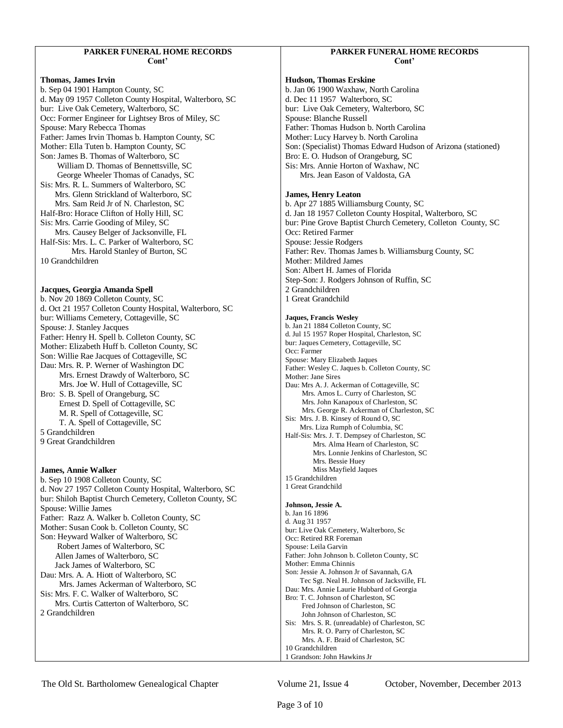#### **PARKER FUNERAL HOME RECORDS Cont'**

**Thomas, James Irvin** b. Sep 04 1901 Hampton County, SC d. May 09 1957 Colleton County Hospital, Walterboro, SC bur: Live Oak Cemetery, Walterboro, SC Occ: Former Engineer for Lightsey Bros of Miley, SC Spouse: Mary Rebecca Thomas Father: James Irvin Thomas b. Hampton County, SC Mother: Ella Tuten b. Hampton County, SC Son: James B. Thomas of Walterboro, SC William D. Thomas of Bennettsville, SC George Wheeler Thomas of Canadys, SC Sis: Mrs. R. L. Summers of Walterboro, SC Mrs. Glenn Strickland of Walterboro, SC Mrs. Sam Reid Jr of N. Charleston, SC Half-Bro: Horace Clifton of Holly Hill, SC Sis: Mrs. Carrie Gooding of Miley, SC Mrs. Causey Belger of Jacksonville, FL Half-Sis: Mrs. L. C. Parker of Walterboro, SC Mrs. Harold Stanley of Burton, SC 10 Grandchildren

#### **Jacques, Georgia Amanda Spell**

b. Nov 20 1869 Colleton County, SC d. Oct 21 1957 Colleton County Hospital, Walterboro, SC bur: Williams Cemetery, Cottageville, SC Spouse: J. Stanley Jacques Father: Henry H. Spell b. Colleton County, SC Mother: Elizabeth Huff b. Colleton County, SC Son: Willie Rae Jacques of Cottageville, SC Dau: Mrs. R. P. Werner of Washington DC Mrs. Ernest Drawdy of Walterboro, SC Mrs. Joe W. Hull of Cottageville, SC Bro: S. B. Spell of Orangeburg, SC Ernest D. Spell of Cottageville, SC M. R. Spell of Cottageville, SC T. A. Spell of Cottageville, SC 5 Grandchildren 9 Great Grandchildren **James, Annie Walker** b. Sep 10 1908 Colleton County, SC

d. Nov 27 1957 Colleton County Hospital, Walterboro, SC bur: Shiloh Baptist Church Cemetery, Colleton County, SC Spouse: Willie James Father: Razz A. Walker b. Colleton County, SC Mother: Susan Cook b. Colleton County, SC Son: Heyward Walker of Walterboro, SC Robert James of Walterboro, SC Allen James of Walterboro, SC Jack James of Walterboro, SC Dau: Mrs. A. A. Hiott of Walterboro, SC Mrs. James Ackerman of Walterboro, SC Sis: Mrs. F. C. Walker of Walterboro, SC Mrs. Curtis Catterton of Walterboro, SC 2 Grandchildren

# **PARKER FUNERAL HOME RECORDS Cont'**

#### **Hudson, Thomas Erskine**

b. Jan 06 1900 Waxhaw, North Carolina d. Dec 11 1957 Walterboro, SC bur: Live Oak Cemetery, Walterboro, SC Spouse: Blanche Russell Father: Thomas Hudson b. North Carolina Mother: Lucy Harvey b. North Carolina Son: (Specialist) Thomas Edward Hudson of Arizona (stationed) Bro: E. O. Hudson of Orangeburg, SC Sis: Mrs. Annie Horton of Waxhaw, NC Mrs. Jean Eason of Valdosta, GA

#### **James, Henry Leaton**

b. Apr 27 1885 Williamsburg County, SC d. Jan 18 1957 Colleton County Hospital, Walterboro, SC bur: Pine Grove Baptist Church Cemetery, Colleton County, SC Occ: Retired Farmer Spouse: Jessie Rodgers Father: Rev. Thomas James b. Williamsburg County, SC Mother: Mildred James Son: Albert H. James of Florida Step-Son: J. Rodgers Johnson of Ruffin, SC 2 Grandchildren 1 Great Grandchild

#### **Jaques, Francis Wesley**

b. Jan 21 1884 Colleton County, SC d. Jul 15 1957 Roper Hospital, Charleston, SC bur: Jaques Cemetery, Cottageville, SC Occ: Farmer Spouse: Mary Elizabeth Jaques Father: Wesley C. Jaques b. Colleton County, SC Mother: Jane Sires Dau: Mrs A. J. Ackerman of Cottageville, SC Mrs. Amos L. Curry of Charleston, SC Mrs. John Kanapoux of Charleston, SC Mrs. George R. Ackerman of Charleston, SC Sis: Mrs. J. B. Kinsey of Round O, SC Mrs. Liza Rumph of Columbia, SC Half-Sis: Mrs. J. T. Dempsey of Charleston, SC Mrs. Alma Hearn of Charleston, SC Mrs. Lonnie Jenkins of Charleston, SC Mrs. Bessie Huey Miss Mayfield Jaques 15 Grandchildren 1 Great Grandchild **Johnson, Jessie A.**  b. Jan 16 1896 d. Aug 31 1957 bur: Live Oak Cemetery, Walterboro, Sc Occ: Retired RR Foreman Spouse: Leila Garvin Father: John Johnson b. Colleton County, SC Mother: Emma Chinnis Son: Jessie A. Johnson Jr of Savannah, GA Tec Sgt. Neal H. Johnson of Jacksville, FL Dau: Mrs. Annie Laurie Hubbard of Georgia Bro: T. C. Johnson of Charleston, SC Fred Johnson of Charleston, SC

 John Johnson of Charleston, SC Sis: Mrs. S. R. (unreadable) of Charleston, SC Mrs. R. O. Parry of Charleston, SC Mrs. A. F. Braid of Charleston, SC 10 Grandchildren 1 Grandson: John Hawkins Jr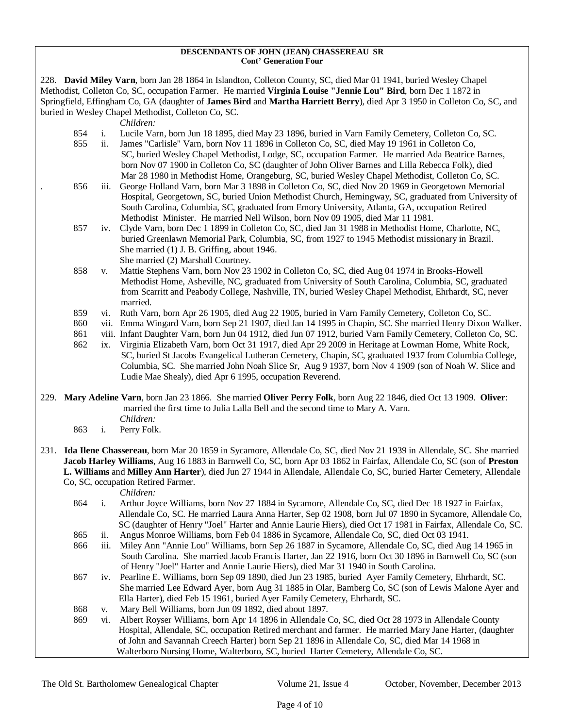#### **DESCENDANTS OF JOHN (JEAN) CHASSEREAU SR Cont' Generation Four**

228. **David Miley Varn**, born Jan 28 1864 in Islandton, Colleton County, SC, died Mar 01 1941, buried Wesley Chapel Methodist, Colleton Co, SC, occupation Farmer. He married **Virginia Louise "Jennie Lou" Bird**, born Dec 1 1872 in Springfield, Effingham Co, GA (daughter of **James Bird** and **Martha Harriett Berry**), died Apr 3 1950 in Colleton Co, SC, and buried in Wesley Chapel Methodist, Colleton Co, SC.

*Children:*

- 854 i. Lucile Varn, born Jun 18 1895, died May 23 1896, buried in Varn Family Cemetery, Colleton Co, SC.
- 855 ii. James "Carlisle" Varn, born Nov 11 1896 in Colleton Co, SC, died May 19 1961 in Colleton Co, SC, buried Wesley Chapel Methodist, Lodge, SC, occupation Farmer. He married Ada Beatrice Barnes, born Nov 07 1900 in Colleton Co, SC (daughter of John Oliver Barnes and Lilla Rebecca Folk), died Mar 28 1980 in Methodist Home, Orangeburg, SC, buried Wesley Chapel Methodist, Colleton Co, SC.
- . 856 iii. George Holland Varn, born Mar 3 1898 in Colleton Co, SC, died Nov 20 1969 in Georgetown Memorial Hospital, Georgetown, SC, buried Union Methodist Church, Hemingway, SC, graduated from University of South Carolina, Columbia, SC, graduated from Emory University, Atlanta, GA, occupation Retired Methodist Minister. He married Nell Wilson, born Nov 09 1905, died Mar 11 1981.
- 857 iv. Clyde Varn, born Dec 1 1899 in Colleton Co, SC, died Jan 31 1988 in Methodist Home, Charlotte, NC, buried Greenlawn Memorial Park, Columbia, SC, from 1927 to 1945 Methodist missionary in Brazil. She married (1) J. B. Griffing, about 1946. She married (2) Marshall Courtney.
- 858 v. Mattie Stephens Varn, born Nov 23 1902 in Colleton Co, SC, died Aug 04 1974 in Brooks-Howell Methodist Home, Asheville, NC, graduated from University of South Carolina, Columbia, SC, graduated from Scarritt and Peabody College, Nashville, TN, buried Wesley Chapel Methodist, Ehrhardt, SC, never married.
- 859 vi. Ruth Varn, born Apr 26 1905, died Aug 22 1905, buried in Varn Family Cemetery, Colleton Co, SC.
- 860 vii. Emma Wingard Varn, born Sep 21 1907, died Jan 14 1995 in Chapin, SC. She married Henry Dixon Walker.
- 861 viii. Infant Daughter Varn, born Jun 04 1912, died Jun 07 1912, buried Varn Family Cemetery, Colleton Co, SC.
- 862 ix. Virginia Elizabeth Varn, born Oct 31 1917, died Apr 29 2009 in Heritage at Lowman Home, White Rock, SC, buried St Jacobs Evangelical Lutheran Cemetery, Chapin, SC, graduated 1937 from Columbia College, Columbia, SC. She married John Noah Slice Sr, Aug 9 1937, born Nov 4 1909 (son of Noah W. Slice and Ludie Mae Shealy), died Apr 6 1995, occupation Reverend.
- 229. **Mary Adeline Varn**, born Jan 23 1866. She married **Oliver Perry Folk**, born Aug 22 1846, died Oct 13 1909. **Oliver**: married the first time to Julia Lalla Bell and the second time to Mary A. Varn. *Children:*
	- 863 i. Perry Folk.
- 231. **Ida Ilene Chassereau**, born Mar 20 1859 in Sycamore, Allendale Co, SC, died Nov 21 1939 in Allendale, SC. She married **Jacob Harley Williams**, Aug 16 1883 in Barnwell Co, SC, born Apr 03 1862 in Fairfax, Allendale Co, SC (son of **Preston L. Williams** and **Milley Ann Harter**), died Jun 27 1944 in Allendale, Allendale Co, SC, buried Harter Cemetery, Allendale Co, SC, occupation Retired Farmer.

- 864 i. Arthur Joyce Williams, born Nov 27 1884 in Sycamore, Allendale Co, SC, died Dec 18 1927 in Fairfax, Allendale Co, SC. He married Laura Anna Harter, Sep 02 1908, born Jul 07 1890 in Sycamore, Allendale Co, SC (daughter of Henry "Joel" Harter and Annie Laurie Hiers), died Oct 17 1981 in Fairfax, Allendale Co, SC.
- 865 ii. Angus Monroe Williams, born Feb 04 1886 in Sycamore, Allendale Co, SC, died Oct 03 1941.
- 866 iii. Miley Ann "Annie Lou" Williams, born Sep 26 1887 in Sycamore, Allendale Co, SC, died Aug 14 1965 in South Carolina. She married Jacob Francis Harter, Jan 22 1916, born Oct 30 1896 in Barnwell Co, SC (son of Henry "Joel" Harter and Annie Laurie Hiers), died Mar 31 1940 in South Carolina.
- 867 iv. Pearline E. Williams, born Sep 09 1890, died Jun 23 1985, buried Ayer Family Cemetery, Ehrhardt, SC. She married Lee Edward Ayer, born Aug 31 1885 in Olar, Bamberg Co, SC (son of Lewis Malone Ayer and Ella Harter), died Feb 15 1961, buried Ayer Family Cemetery, Ehrhardt, SC.
- 868 v. Mary Bell Williams, born Jun 09 1892, died about 1897.
- 869 vi. Albert Royser Williams, born Apr 14 1896 in Allendale Co, SC, died Oct 28 1973 in Allendale County Hospital, Allendale, SC, occupation Retired merchant and farmer. He married Mary Jane Harter, (daughter of John and Savannah Creech Harter) born Sep 21 1896 in Allendale Co, SC, died Mar 14 1968 in Walterboro Nursing Home, Walterboro, SC, buried Harter Cemetery, Allendale Co, SC.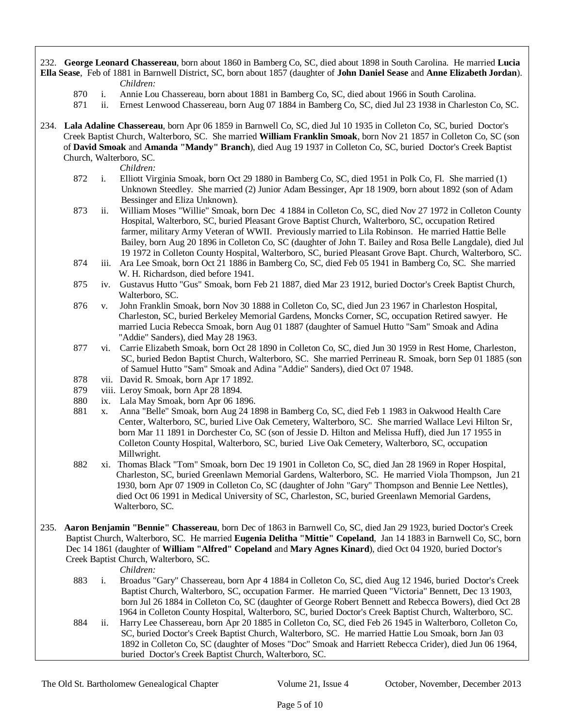- 232. **George Leonard Chassereau**, born about 1860 in Bamberg Co, SC, died about 1898 in South Carolina. He married **Lucia Ella Sease**, Feb of 1881 in Barnwell District, SC, born about 1857 (daughter of **John Daniel Sease** and **Anne Elizabeth Jordan**). *Children:*
	- 870 i. Annie Lou Chassereau, born about 1881 in Bamberg Co, SC, died about 1966 in South Carolina.
	- 871 ii. Ernest Lenwood Chassereau, born Aug 07 1884 in Bamberg Co, SC, died Jul 23 1938 in Charleston Co, SC.
- 234. **Lala Adaline Chassereau**, born Apr 06 1859 in Barnwell Co, SC, died Jul 10 1935 in Colleton Co, SC, buried Doctor's Creek Baptist Church, Walterboro, SC. She married **William Franklin Smoak**, born Nov 21 1857 in Colleton Co, SC (son of **David Smoak** and **Amanda "Mandy" Branch**), died Aug 19 1937 in Colleton Co, SC, buried Doctor's Creek Baptist Church, Walterboro, SC.

*Children:*

- 872 i. Elliott Virginia Smoak, born Oct 29 1880 in Bamberg Co, SC, died 1951 in Polk Co, Fl. She married (1) Unknown Steedley. She married (2) Junior Adam Bessinger, Apr 18 1909, born about 1892 (son of Adam Bessinger and Eliza Unknown).
- 873 ii. William Moses "Willie" Smoak, born Dec 4 1884 in Colleton Co, SC, died Nov 27 1972 in Colleton County Hospital, Walterboro, SC, buried Pleasant Grove Baptist Church, Walterboro, SC, occupation Retired farmer, military Army Veteran of WWII. Previously married to Lila Robinson. He married Hattie Belle Bailey, born Aug 20 1896 in Colleton Co, SC (daughter of John T. Bailey and Rosa Belle Langdale), died Jul 19 1972 in Colleton County Hospital, Walterboro, SC, buried Pleasant Grove Bapt. Church, Walterboro, SC.<br>874 iii. Ara Lee Smoak, born Oct 21 1886 in Bamberg Co, SC, died Feb 05 1941 in Bamberg Co, SC. She married
- iii. Ara Lee Smoak, born Oct 21 1886 in Bamberg Co, SC, died Feb 05 1941 in Bamberg Co, SC. She married W. H. Richardson, died before 1941.
- 875 iv. Gustavus Hutto "Gus" Smoak, born Feb 21 1887, died Mar 23 1912, buried Doctor's Creek Baptist Church, Walterboro, SC.
- 876 v. John Franklin Smoak, born Nov 30 1888 in Colleton Co, SC, died Jun 23 1967 in Charleston Hospital, Charleston, SC, buried Berkeley Memorial Gardens, Moncks Corner, SC, occupation Retired sawyer. He married Lucia Rebecca Smoak, born Aug 01 1887 (daughter of Samuel Hutto "Sam" Smoak and Adina "Addie" Sanders), died May 28 1963.
- 877 vi. Carrie Elizabeth Smoak, born Oct 28 1890 in Colleton Co, SC, died Jun 30 1959 in Rest Home, Charleston, SC, buried Bedon Baptist Church, Walterboro, SC. She married Perrineau R. Smoak, born Sep 01 1885 (son of Samuel Hutto "Sam" Smoak and Adina "Addie" Sanders), died Oct 07 1948.
- 878 vii. David R. Smoak, born Apr 17 1892.
- 879 viii. Leroy Smoak, born Apr 28 1894.
- 880 ix. Lala May Smoak, born Apr 06 1896.
- 881 x. Anna "Belle" Smoak, born Aug 24 1898 in Bamberg Co, SC, died Feb 1 1983 in Oakwood Health Care Center, Walterboro, SC, buried Live Oak Cemetery, Walterboro, SC. She married Wallace Levi Hilton Sr, born Mar 11 1891 in Dorchester Co, SC (son of Jessie D. Hilton and Melissa Huff), died Jun 17 1955 in Colleton County Hospital, Walterboro, SC, buried Live Oak Cemetery, Walterboro, SC, occupation Millwright.
- 882 xi. Thomas Black "Tom" Smoak, born Dec 19 1901 in Colleton Co, SC, died Jan 28 1969 in Roper Hospital, Charleston, SC, buried Greenlawn Memorial Gardens, Walterboro, SC. He married Viola Thompson, Jun 21 1930, born Apr 07 1909 in Colleton Co, SC (daughter of John "Gary" Thompson and Bennie Lee Nettles), died Oct 06 1991 in Medical University of SC, Charleston, SC, buried Greenlawn Memorial Gardens, Walterboro, SC.
- 235. **Aaron Benjamin "Bennie" Chassereau**, born Dec of 1863 in Barnwell Co, SC, died Jan 29 1923, buried Doctor's Creek Baptist Church, Walterboro, SC. He married **Eugenia Delitha "Mittie" Copeland**, Jan 14 1883 in Barnwell Co, SC, born Dec 14 1861 (daughter of **William "Alfred" Copeland** and **Mary Agnes Kinard**), died Oct 04 1920, buried Doctor's Creek Baptist Church, Walterboro, SC.

- 883 i. Broadus "Gary" Chassereau, born Apr 4 1884 in Colleton Co, SC, died Aug 12 1946, buried Doctor's Creek Baptist Church, Walterboro, SC, occupation Farmer. He married Queen "Victoria" Bennett, Dec 13 1903, born Jul 26 1884 in Colleton Co, SC (daughter of George Robert Bennett and Rebecca Bowers), died Oct 28 1964 in Colleton County Hospital, Walterboro, SC, buried Doctor's Creek Baptist Church, Walterboro, SC.
- 884 ii. Harry Lee Chassereau, born Apr 20 1885 in Colleton Co, SC, died Feb 26 1945 in Walterboro, Colleton Co, SC, buried Doctor's Creek Baptist Church, Walterboro, SC. He married Hattie Lou Smoak, born Jan 03 1892 in Colleton Co, SC (daughter of Moses "Doc" Smoak and Harriett Rebecca Crider), died Jun 06 1964, buried Doctor's Creek Baptist Church, Walterboro, SC.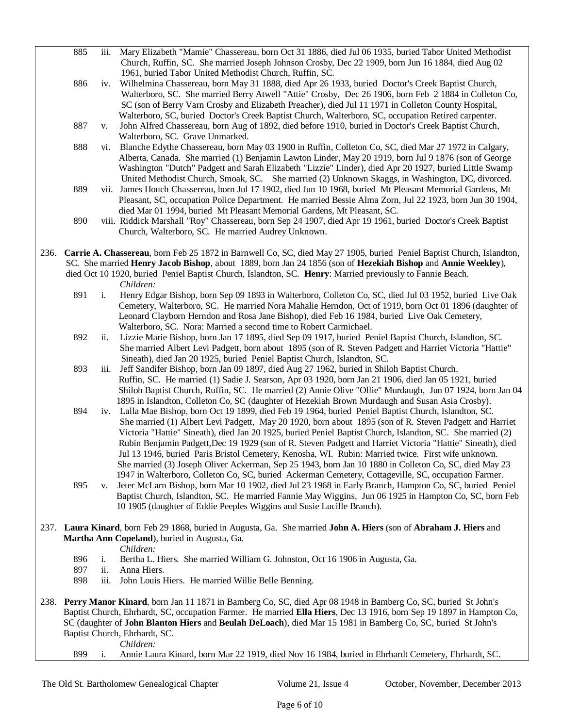- 885 iii. Mary Elizabeth "Mamie" Chassereau, born Oct 31 1886, died Jul 06 1935, buried Tabor United Methodist Church, Ruffin, SC. She married Joseph Johnson Crosby, Dec 22 1909, born Jun 16 1884, died Aug 02 1961, buried Tabor United Methodist Church, Ruffin, SC.
- 886 iv. Wilhelmina Chassereau, born May 31 1888, died Apr 26 1933, buried Doctor's Creek Baptist Church, Walterboro, SC. She married Berry Atwell "Attie" Crosby, Dec 26 1906, born Feb 2 1884 in Colleton Co, SC (son of Berry Varn Crosby and Elizabeth Preacher), died Jul 11 1971 in Colleton County Hospital, Walterboro, SC, buried Doctor's Creek Baptist Church, Walterboro, SC, occupation Retired carpenter.
- 887 v. John Alfred Chassereau, born Aug of 1892, died before 1910, buried in Doctor's Creek Baptist Church, Walterboro, SC. Grave Unmarked.
- 888 vi. Blanche Edythe Chassereau, born May 03 1900 in Ruffin, Colleton Co, SC, died Mar 27 1972 in Calgary, Alberta, Canada. She married (1) Benjamin Lawton Linder, May 20 1919, born Jul 9 1876 (son of George Washington "Dutch" Padgett and Sarah Elizabeth "Lizzie" Linder), died Apr 20 1927, buried Little Swamp United Methodist Church, Smoak, SC. She married (2) Unknown Skaggs, in Washington, DC, divorced.
- 889 vii. James Houch Chassereau, born Jul 17 1902, died Jun 10 1968, buried Mt Pleasant Memorial Gardens, Mt Pleasant, SC, occupation Police Department. He married Bessie Alma Zorn, Jul 22 1923, born Jun 30 1904, died Mar 01 1994, buried Mt Pleasant Memorial Gardens, Mt Pleasant, SC.
- 890 viii. Riddick Marshall "Roy" Chassereau, born Sep 24 1907, died Apr 19 1961, buried Doctor's Creek Baptist Church, Walterboro, SC. He married Audrey Unknown.
- 236. **Carrie A. Chassereau**, born Feb 25 1872 in Barnwell Co, SC, died May 27 1905, buried Peniel Baptist Church, Islandton, SC. She married **Henry Jacob Bishop**, about 1889, born Jan 24 1856 (son of **Hezekiah Bishop** and **Annie Weekley**), died Oct 10 1920, buried Peniel Baptist Church, Islandton, SC. **Henry**: Married previously to Fannie Beach.

*Children:*

- 891 i. Henry Edgar Bishop, born Sep 09 1893 in Walterboro, Colleton Co, SC, died Jul 03 1952, buried Live Oak Cemetery, Walterboro, SC. He married Nora Mahalie Herndon, Oct of 1919, born Oct 01 1896 (daughter of Leonard Clayborn Herndon and Rosa Jane Bishop), died Feb 16 1984, buried Live Oak Cemetery, Walterboro, SC. Nora: Married a second time to Robert Carmichael.
- 892 ii. Lizzie Marie Bishop, born Jan 17 1895, died Sep 09 1917, buried Peniel Baptist Church, Islandton, SC. She married Albert Levi Padgett, born about 1895 (son of R. Steven Padgett and Harriet Victoria "Hattie" Sineath), died Jan 20 1925, buried Peniel Baptist Church, Islandton, SC.
- 893 iii. Jeff Sandifer Bishop, born Jan 09 1897, died Aug 27 1962, buried in Shiloh Baptist Church, Ruffin, SC. He married (1) Sadie J. Searson, Apr 03 1920, born Jan 21 1906, died Jan 05 1921, buried Shiloh Baptist Church, Ruffin, SC. He married (2) Annie Olive "Ollie" Murdaugh, Jun 07 1924, born Jan 04 1895 in Islandton, Colleton Co, SC (daughter of Hezekiah Brown Murdaugh and Susan Asia Crosby).
- 894 iv. Lalla Mae Bishop, born Oct 19 1899, died Feb 19 1964, buried Peniel Baptist Church, Islandton, SC. She married (1) Albert Levi Padgett, May 20 1920, born about 1895 (son of R. Steven Padgett and Harriet Victoria "Hattie" Sineath), died Jan 20 1925, buried Peniel Baptist Church, Islandton, SC. She married (2) Rubin Benjamin Padgett,Dec 19 1929 (son of R. Steven Padgett and Harriet Victoria "Hattie" Sineath), died Jul 13 1946, buried Paris Bristol Cemetery, Kenosha, WI. Rubin: Married twice. First wife unknown. She married (3) Joseph Oliver Ackerman, Sep 25 1943, born Jan 10 1880 in Colleton Co, SC, died May 23 1947 in Walterboro, Colleton Co, SC, buried Ackerman Cemetery, Cottageville, SC, occupation Farmer.
- 895 v. Jeter McLarn Bishop, born Mar 10 1902, died Jul 23 1968 in Early Branch, Hampton Co, SC, buried Peniel Baptist Church, Islandton, SC. He married Fannie May Wiggins, Jun 06 1925 in Hampton Co, SC, born Feb 10 1905 (daughter of Eddie Peeples Wiggins and Susie Lucille Branch).
- 237. **Laura Kinard**, born Feb 29 1868, buried in Augusta, Ga. She married **John A. Hiers** (son of **Abraham J. Hiers** and **Martha Ann Copeland**), buried in Augusta, Ga.

*Children:*

- 896 i. Bertha L. Hiers. She married William G. Johnston, Oct 16 1906 in Augusta, Ga.
- 897 ii. Anna Hiers.
- 898 iii. John Louis Hiers. He married Willie Belle Benning.
- 238. **Perry Manor Kinard**, born Jan 11 1871 in Bamberg Co, SC, died Apr 08 1948 in Bamberg Co, SC, buried St John's Baptist Church, Ehrhardt, SC, occupation Farmer. He married **Ella Hiers**, Dec 13 1916, born Sep 19 1897 in Hampton Co, SC (daughter of **John Blanton Hiers** and **Beulah DeLoach**), died Mar 15 1981 in Bamberg Co, SC, buried St John's Baptist Church, Ehrhardt, SC.

*Children:*

899 i. Annie Laura Kinard, born Mar 22 1919, died Nov 16 1984, buried in Ehrhardt Cemetery, Ehrhardt, SC.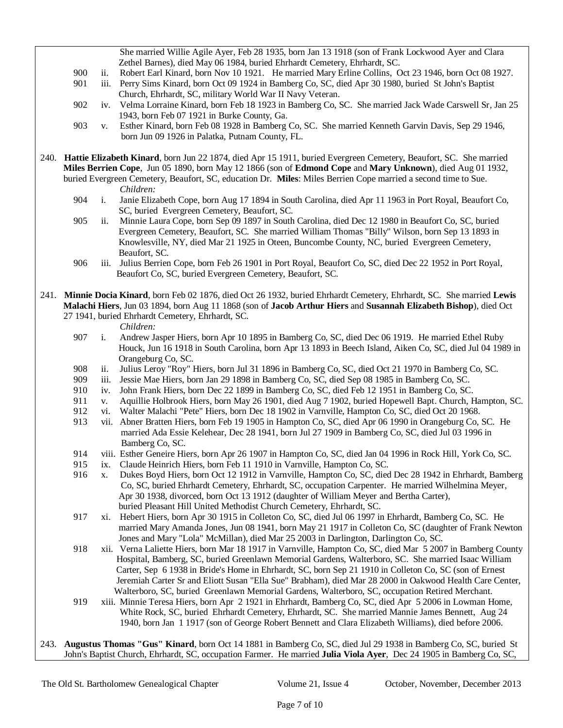She married Willie Agile Ayer, Feb 28 1935, born Jan 13 1918 (son of Frank Lockwood Ayer and Clara Zethel Barnes), died May 06 1984, buried Ehrhardt Cemetery, Ehrhardt, SC.

- 900 ii. Robert Earl Kinard, born Nov 10 1921. He married Mary Erline Collins, Oct 23 1946, born Oct 08 1927.
- 901 iii. Perry Sims Kinard, born Oct 09 1924 in Bamberg Co, SC, died Apr 30 1980, buried St John's Baptist Church, Ehrhardt, SC, military World War II Navy Veteran.
- 902 iv. Velma Lorraine Kinard, born Feb 18 1923 in Bamberg Co, SC. She married Jack Wade Carswell Sr, Jan 25 1943, born Feb 07 1921 in Burke County, Ga.
- 903 v. Esther Kinard, born Feb 08 1928 in Bamberg Co, SC. She married Kenneth Garvin Davis, Sep 29 1946, born Jun 09 1926 in Palatka, Putnam County, FL.
- 240. **Hattie Elizabeth Kinard**, born Jun 22 1874, died Apr 15 1911, buried Evergreen Cemetery, Beaufort, SC. She married **Miles Berrien Cope**, Jun 05 1890, born May 12 1866 (son of **Edmond Cope** and **Mary Unknown**), died Aug 01 1932, buried Evergreen Cemetery, Beaufort, SC, education Dr. **Miles**: Miles Berrien Cope married a second time to Sue. *Children:*
	- 904 i. Janie Elizabeth Cope, born Aug 17 1894 in South Carolina, died Apr 11 1963 in Port Royal, Beaufort Co, SC, buried Evergreen Cemetery, Beaufort, SC.
	- 905 ii. Minnie Laura Cope, born Sep 09 1897 in South Carolina, died Dec 12 1980 in Beaufort Co, SC, buried Evergreen Cemetery, Beaufort, SC. She married William Thomas "Billy" Wilson, born Sep 13 1893 in Knowlesville, NY, died Mar 21 1925 in Oteen, Buncombe County, NC, buried Evergreen Cemetery, Beaufort, SC.
	- 906 iii. Julius Berrien Cope, born Feb 26 1901 in Port Royal, Beaufort Co, SC, died Dec 22 1952 in Port Royal, Beaufort Co, SC, buried Evergreen Cemetery, Beaufort, SC.
- 241. **Minnie Docia Kinard**, born Feb 02 1876, died Oct 26 1932, buried Ehrhardt Cemetery, Ehrhardt, SC. She married **Lewis Malachi Hiers**, Jun 03 1894, born Aug 11 1868 (son of **Jacob Arthur Hiers** and **Susannah Elizabeth Bishop**), died Oct 27 1941, buried Ehrhardt Cemetery, Ehrhardt, SC.

- 907 i. Andrew Jasper Hiers, born Apr 10 1895 in Bamberg Co, SC, died Dec 06 1919. He married Ethel Ruby Houck, Jun 16 1918 in South Carolina, born Apr 13 1893 in Beech Island, Aiken Co, SC, died Jul 04 1989 in Orangeburg Co, SC.
- 908 ii. Julius Leroy "Roy" Hiers, born Jul 31 1896 in Bamberg Co, SC, died Oct 21 1970 in Bamberg Co, SC.
- 909 iii. Jessie Mae Hiers, born Jan 29 1898 in Bamberg Co, SC, died Sep 08 1985 in Bamberg Co, SC.
- 910 iv. John Frank Hiers, born Dec 22 1899 in Bamberg Co, SC, died Feb 12 1951 in Bamberg Co, SC.
- 911 v. Aquillie Holbrook Hiers, born May 26 1901, died Aug 7 1902, buried Hopewell Bapt. Church, Hampton, SC.
- 912 vi. Walter Malachi "Pete" Hiers, born Dec 18 1902 in Varnville, Hampton Co, SC, died Oct 20 1968.
- 913 vii. Abner Bratten Hiers, born Feb 19 1905 in Hampton Co, SC, died Apr 06 1990 in Orangeburg Co, SC. He married Ada Essie Kelehear, Dec 28 1941, born Jul 27 1909 in Bamberg Co, SC, died Jul 03 1996 in Bamberg Co, SC.
- 914 viii. Esther Geneire Hiers, born Apr 26 1907 in Hampton Co, SC, died Jan 04 1996 in Rock Hill, York Co, SC.
- 915 ix. Claude Heinrich Hiers, born Feb 11 1910 in Varnville, Hampton Co, SC.
- 916 x. Dukes Boyd Hiers, born Oct 12 1912 in Varnville, Hampton Co, SC, died Dec 28 1942 in Ehrhardt, Bamberg Co, SC, buried Ehrhardt Cemetery, Ehrhardt, SC, occupation Carpenter. He married Wilhelmina Meyer, Apr 30 1938, divorced, born Oct 13 1912 (daughter of William Meyer and Bertha Carter), buried Pleasant Hill United Methodist Church Cemetery, Ehrhardt, SC.
- 917 xi. Hebert Hiers, born Apr 30 1915 in Colleton Co, SC, died Jul 06 1997 in Ehrhardt, Bamberg Co, SC. He married Mary Amanda Jones, Jun 08 1941, born May 21 1917 in Colleton Co, SC (daughter of Frank Newton Jones and Mary "Lola" McMillan), died Mar 25 2003 in Darlington, Darlington Co, SC.
- 918 xii. Verna Laliette Hiers, born Mar 18 1917 in Varnville, Hampton Co, SC, died Mar 5 2007 in Bamberg County Hospital, Bamberg, SC, buried Greenlawn Memorial Gardens, Walterboro, SC. She married Isaac William Carter, Sep 6 1938 in Bride's Home in Ehrhardt, SC, born Sep 21 1910 in Colleton Co, SC (son of Ernest Jeremiah Carter Sr and Eliott Susan "Ella Sue" Brabham), died Mar 28 2000 in Oakwood Health Care Center, Walterboro, SC, buried Greenlawn Memorial Gardens, Walterboro, SC, occupation Retired Merchant.
- 919 xiii. Minnie Teresa Hiers, born Apr 2 1921 in Ehrhardt, Bamberg Co, SC, died Apr 5 2006 in Lowman Home, White Rock, SC, buried Ehrhardt Cemetery, Ehrhardt, SC. She married Mannie James Bennett, Aug 24 1940, born Jan 1 1917 (son of George Robert Bennett and Clara Elizabeth Williams), died before 2006.
- 243. **Augustus Thomas "Gus" Kinard**, born Oct 14 1881 in Bamberg Co, SC, died Jul 29 1938 in Bamberg Co, SC, buried St John's Baptist Church, Ehrhardt, SC, occupation Farmer. He married **Julia Viola Ayer**, Dec 24 1905 in Bamberg Co, SC,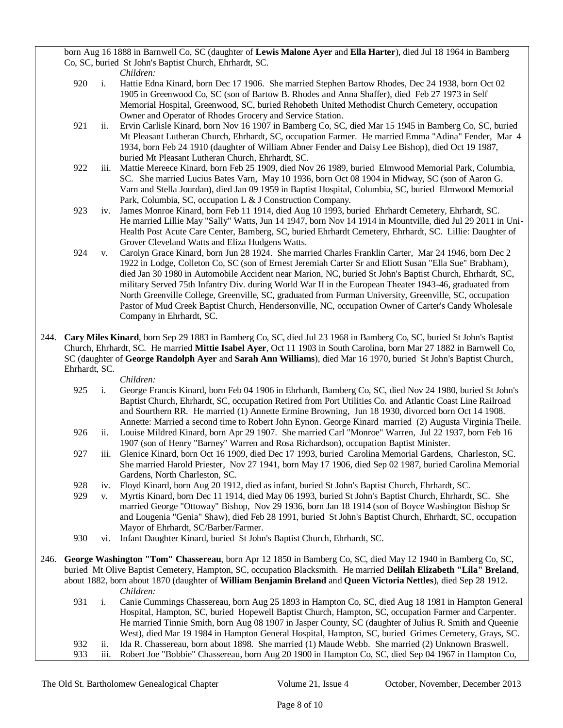born Aug 16 1888 in Barnwell Co, SC (daughter of **Lewis Malone Ayer** and **Ella Harter**), died Jul 18 1964 in Bamberg Co, SC, buried St John's Baptist Church, Ehrhardt, SC.

*Children:*

- 920 i. Hattie Edna Kinard, born Dec 17 1906. She married Stephen Bartow Rhodes, Dec 24 1938, born Oct 02 1905 in Greenwood Co, SC (son of Bartow B. Rhodes and Anna Shaffer), died Feb 27 1973 in Self Memorial Hospital, Greenwood, SC, buried Rehobeth United Methodist Church Cemetery, occupation Owner and Operator of Rhodes Grocery and Service Station.
- 921 ii. Ervin Carlisle Kinard, born Nov 16 1907 in Bamberg Co, SC, died Mar 15 1945 in Bamberg Co, SC, buried Mt Pleasant Lutheran Church, Ehrhardt, SC, occupation Farmer. He married Emma "Adina" Fender, Mar 4 1934, born Feb 24 1910 (daughter of William Abner Fender and Daisy Lee Bishop), died Oct 19 1987, buried Mt Pleasant Lutheran Church, Ehrhardt, SC.
- 922 iii. Mattie Mereece Kinard, born Feb 25 1909, died Nov 26 1989, buried Elmwood Memorial Park, Columbia, SC. She married Lucius Bates Varn, May 10 1936, born Oct 08 1904 in Midway, SC (son of Aaron G. Varn and Stella Jourdan), died Jan 09 1959 in Baptist Hospital, Columbia, SC, buried Elmwood Memorial Park, Columbia, SC, occupation L & J Construction Company.
- 923 iv. James Monroe Kinard, born Feb 11 1914, died Aug 10 1993, buried Ehrhardt Cemetery, Ehrhardt, SC. He married Lillie May "Sally" Watts, Jun 14 1947, born Nov 14 1914 in Mountville, died Jul 29 2011 in Uni-Health Post Acute Care Center, Bamberg, SC, buried Ehrhardt Cemetery, Ehrhardt, SC. Lillie: Daughter of Grover Cleveland Watts and Eliza Hudgens Watts.
- 924 v. Carolyn Grace Kinard, born Jun 28 1924. She married Charles Franklin Carter, Mar 24 1946, born Dec 2 1922 in Lodge, Colleton Co, SC (son of Ernest Jeremiah Carter Sr and Eliott Susan "Ella Sue" Brabham), died Jan 30 1980 in Automobile Accident near Marion, NC, buried St John's Baptist Church, Ehrhardt, SC, military Served 75th Infantry Div. during World War II in the European Theater 1943-46, graduated from North Greenville College, Greenville, SC, graduated from Furman University, Greenville, SC, occupation Pastor of Mud Creek Baptist Church, Hendersonville, NC, occupation Owner of Carter's Candy Wholesale Company in Ehrhardt, SC.
- 244. **Cary Miles Kinard**, born Sep 29 1883 in Bamberg Co, SC, died Jul 23 1968 in Bamberg Co, SC, buried St John's Baptist Church, Ehrhardt, SC. He married **Mittie Isabel Ayer**, Oct 11 1903 in South Carolina, born Mar 27 1882 in Barnwell Co, SC (daughter of **George Randolph Ayer** and **Sarah Ann Williams**), died Mar 16 1970, buried St John's Baptist Church, Ehrhardt, SC.

- 925 i. George Francis Kinard, born Feb 04 1906 in Ehrhardt, Bamberg Co, SC, died Nov 24 1980, buried St John's Baptist Church, Ehrhardt, SC, occupation Retired from Port Utilities Co. and Atlantic Coast Line Railroad and Sourthern RR. He married (1) Annette Ermine Browning, Jun 18 1930, divorced born Oct 14 1908. Annette: Married a second time to Robert John Eynon. George Kinard married (2) Augusta Virginia Theile.
- 926 ii. Louise Mildred Kinard, born Apr 29 1907. She married Carl "Monroe" Warren, Jul 22 1937, born Feb 16 1907 (son of Henry "Barney" Warren and Rosa Richardson), occupation Baptist Minister.
- 927 iii. Glenice Kinard, born Oct 16 1909, died Dec 17 1993, buried Carolina Memorial Gardens, Charleston, SC. She married Harold Priester, Nov 27 1941, born May 17 1906, died Sep 02 1987, buried Carolina Memorial Gardens, North Charleston, SC.
- 928 iv. Floyd Kinard, born Aug 20 1912, died as infant, buried St John's Baptist Church, Ehrhardt, SC.
- 929 v. Myrtis Kinard, born Dec 11 1914, died May 06 1993, buried St John's Baptist Church, Ehrhardt, SC. She married George "Ottoway" Bishop, Nov 29 1936, born Jan 18 1914 (son of Boyce Washington Bishop Sr and Lougenia "Genia" Shaw), died Feb 28 1991, buried St John's Baptist Church, Ehrhardt, SC, occupation Mayor of Ehrhardt, SC/Barber/Farmer.
- 930 vi. Infant Daughter Kinard, buried St John's Baptist Church, Ehrhardt, SC.
- 246. **George Washington "Tom" Chassereau**, born Apr 12 1850 in Bamberg Co, SC, died May 12 1940 in Bamberg Co, SC, buried Mt Olive Baptist Cemetery, Hampton, SC, occupation Blacksmith. He married **Delilah Elizabeth "Lila" Breland**, about 1882, born about 1870 (daughter of **William Benjamin Breland** and **Queen Victoria Nettles**), died Sep 28 1912. *Children:*
	- 931 i. Canie Cummings Chassereau, born Aug 25 1893 in Hampton Co, SC, died Aug 18 1981 in Hampton General Hospital, Hampton, SC, buried Hopewell Baptist Church, Hampton, SC, occupation Farmer and Carpenter. He married Tinnie Smith, born Aug 08 1907 in Jasper County, SC (daughter of Julius R. Smith and Queenie West), died Mar 19 1984 in Hampton General Hospital, Hampton, SC, buried Grimes Cemetery, Grays, SC. 932 ii. Ida R. Chassereau, born about 1898. She married (1) Maude Webb. She married (2) Unknown Braswell. 933 iii. Robert Joe "Bobbie" Chassereau, born Aug 20 1900 in Hampton Co, SC, died Sep 04 1967 in Hampton Co,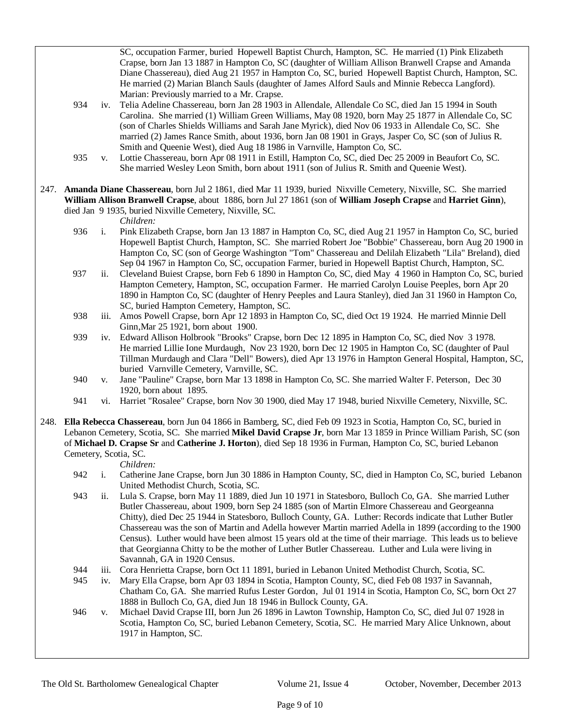SC, occupation Farmer, buried Hopewell Baptist Church, Hampton, SC. He married (1) Pink Elizabeth Crapse, born Jan 13 1887 in Hampton Co, SC (daughter of William Allison Branwell Crapse and Amanda Diane Chassereau), died Aug 21 1957 in Hampton Co, SC, buried Hopewell Baptist Church, Hampton, SC. He married (2) Marian Blanch Sauls (daughter of James Alford Sauls and Minnie Rebecca Langford). Marian: Previously married to a Mr. Crapse.

- 934 iv. Telia Adeline Chassereau, born Jan 28 1903 in Allendale, Allendale Co SC, died Jan 15 1994 in South Carolina. She married (1) William Green Williams, May 08 1920, born May 25 1877 in Allendale Co, SC (son of Charles Shields Williams and Sarah Jane Myrick), died Nov 06 1933 in Allendale Co, SC. She married (2) James Rance Smith, about 1936, born Jan 08 1901 in Grays, Jasper Co, SC (son of Julius R. Smith and Queenie West), died Aug 18 1986 in Varnville, Hampton Co, SC.
- 935 v. Lottie Chassereau, born Apr 08 1911 in Estill, Hampton Co, SC, died Dec 25 2009 in Beaufort Co, SC. She married Wesley Leon Smith, born about 1911 (son of Julius R. Smith and Queenie West).
- 247. **Amanda Diane Chassereau**, born Jul 2 1861, died Mar 11 1939, buried Nixville Cemetery, Nixville, SC. She married **William Allison Branwell Crapse**, about 1886, born Jul 27 1861 (son of **William Joseph Crapse** and **Harriet Ginn**), died Jan 9 1935, buried Nixville Cemetery, Nixville, SC.

*Children:*

- 936 i. Pink Elizabeth Crapse, born Jan 13 1887 in Hampton Co, SC, died Aug 21 1957 in Hampton Co, SC, buried Hopewell Baptist Church, Hampton, SC. She married Robert Joe "Bobbie" Chassereau, born Aug 20 1900 in Hampton Co, SC (son of George Washington "Tom" Chassereau and Delilah Elizabeth "Lila" Breland), died Sep 04 1967 in Hampton Co, SC, occupation Farmer, buried in Hopewell Baptist Church, Hampton, SC.
- 937 ii. Cleveland Buiest Crapse, born Feb 6 1890 in Hampton Co, SC, died May 4 1960 in Hampton Co, SC, buried Hampton Cemetery, Hampton, SC, occupation Farmer. He married Carolyn Louise Peeples, born Apr 20 1890 in Hampton Co, SC (daughter of Henry Peeples and Laura Stanley), died Jan 31 1960 in Hampton Co, SC, buried Hampton Cemetery, Hampton, SC.
- 938 iii. Amos Powell Crapse, born Apr 12 1893 in Hampton Co, SC, died Oct 19 1924. He married Minnie Dell Ginn,Mar 25 1921, born about 1900.
- 939 iv. Edward Allison Holbrook "Brooks" Crapse, born Dec 12 1895 in Hampton Co, SC, died Nov 3 1978. He married Lillie Ione Murdaugh, Nov 23 1920, born Dec 12 1905 in Hampton Co, SC (daughter of Paul Tillman Murdaugh and Clara "Dell" Bowers), died Apr 13 1976 in Hampton General Hospital, Hampton, SC, buried Varnville Cemetery, Varnville, SC.
- 940 v. Jane "Pauline" Crapse, born Mar 13 1898 in Hampton Co, SC. She married Walter F. Peterson, Dec 30 1920, born about 1895.
- 941 vi. Harriet "Rosalee" Crapse, born Nov 30 1900, died May 17 1948, buried Nixville Cemetery, Nixville, SC.
- 248. **Ella Rebecca Chassereau**, born Jun 04 1866 in Bamberg, SC, died Feb 09 1923 in Scotia, Hampton Co, SC, buried in Lebanon Cemetery, Scotia, SC. She married **Mikel David Crapse Jr**, born Mar 13 1859 in Prince William Parish, SC (son of **Michael D. Crapse Sr** and **Catherine J. Horton**), died Sep 18 1936 in Furman, Hampton Co, SC, buried Lebanon Cemetery, Scotia, SC.

- 942 i. Catherine Jane Crapse, born Jun 30 1886 in Hampton County, SC, died in Hampton Co, SC, buried Lebanon United Methodist Church, Scotia, SC.
- 943 ii. Lula S. Crapse, born May 11 1889, died Jun 10 1971 in Statesboro, Bulloch Co, GA. She married Luther Butler Chassereau, about 1909, born Sep 24 1885 (son of Martin Elmore Chassereau and Georgeanna Chitty), died Dec 25 1944 in Statesboro, Bulloch County, GA. Luther: Records indicate that Luther Butler Chassereau was the son of Martin and Adella however Martin married Adella in 1899 (according to the 1900 Census). Luther would have been almost 15 years old at the time of their marriage. This leads us to believe that Georgianna Chitty to be the mother of Luther Butler Chassereau. Luther and Lula were living in Savannah, GA in 1920 Census.
- 944 iii. Cora Henrietta Crapse, born Oct 11 1891, buried in Lebanon United Methodist Church, Scotia, SC.
- 945 iv. Mary Ella Crapse, born Apr 03 1894 in Scotia, Hampton County, SC, died Feb 08 1937 in Savannah, Chatham Co, GA. She married Rufus Lester Gordon, Jul 01 1914 in Scotia, Hampton Co, SC, born Oct 27 1888 in Bulloch Co, GA, died Jun 18 1946 in Bullock County, GA.
- 946 v. Michael David Crapse III, born Jun 26 1896 in Lawton Township, Hampton Co, SC, died Jul 07 1928 in Scotia, Hampton Co, SC, buried Lebanon Cemetery, Scotia, SC. He married Mary Alice Unknown, about 1917 in Hampton, SC.